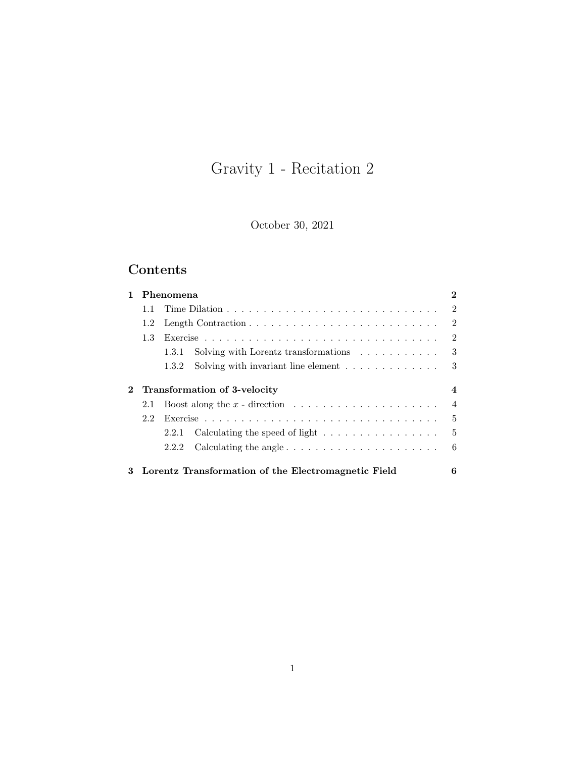# Gravity 1 - Recitation 2

October 30, 2021

## Contents

|              |     | Phenomena                                                                         | $\bf{2}$       |
|--------------|-----|-----------------------------------------------------------------------------------|----------------|
|              | 1.1 |                                                                                   | $\mathfrak{D}$ |
|              | 1.2 |                                                                                   | $\mathfrak{D}$ |
|              | 1.3 |                                                                                   | $\mathcal{D}$  |
|              |     | Solving with Lorentz transformations $\ldots \ldots \ldots$<br>1.3.1              | 3              |
|              |     | Solving with invariant line element $\ldots \ldots \ldots \ldots$<br>1.3.2        | 3              |
|              |     |                                                                                   |                |
| $\mathbf{2}$ |     | Transformation of 3-velocity                                                      | 4              |
|              | 2.1 |                                                                                   | $\overline{4}$ |
|              | 2.2 |                                                                                   | 5              |
|              |     | Calculating the speed of light $\ldots \ldots \ldots \ldots \ldots$<br>2.2.1      | $\mathbf{5}$   |
|              |     | Calculating the angle $\ldots \ldots \ldots \ldots \ldots \ldots \ldots$<br>2.2.2 | 6              |
|              |     |                                                                                   |                |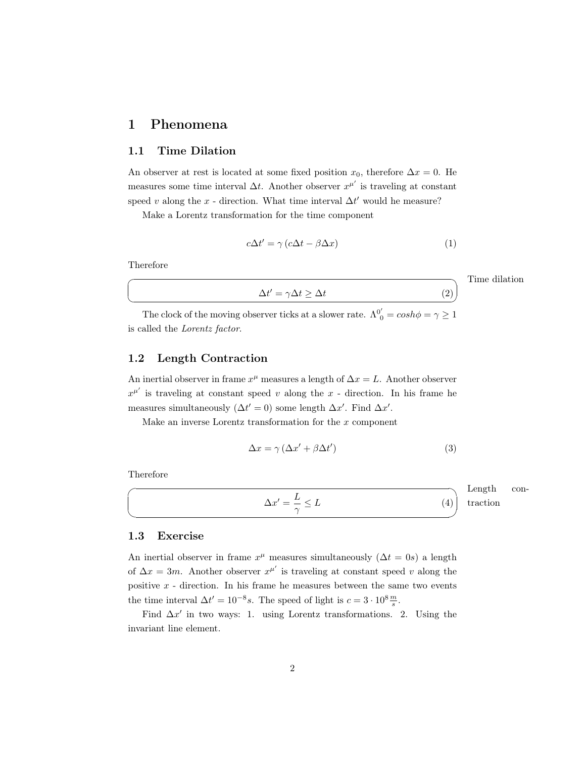### <span id="page-1-0"></span>1 Phenomena

#### <span id="page-1-1"></span>1.1 Time Dilation

An observer at rest is located at some fixed position  $x_0$ , therefore  $\Delta x = 0$ . He measures some time interval  $\Delta t$ . Another observer  $x^{\mu'}$  is traveling at constant speed v along the x - direction. What time interval  $\Delta t'$  would he measure?

Make a Lorentz transformation for the time component

$$
c\Delta t' = \gamma \left( c\Delta t - \beta \Delta x \right) \tag{1}
$$

Therefore

☛

 $\searrow$ 

# $\Delta t' = \gamma \Delta t \ge \Delta t$  (2)

Time dilation

The clock of the moving observer ticks at a slower rate.  $\Lambda^{0'}_{0} = \cosh \phi = \gamma \geq 1$ is called the Lorentz factor.

#### <span id="page-1-2"></span>1.2 Length Contraction

An inertial observer in frame  $x^{\mu}$  measures a length of  $\Delta x = L$ . Another observer  $x^{\mu'}$  is traveling at constant speed v along the x - direction. In his frame he measures simultaneously  $(\Delta t' = 0)$  some length  $\Delta x'$ . Find  $\Delta x'$ .

Make an inverse Lorentz transformation for the  $x$  component

$$
\Delta x = \gamma \left( \Delta x' + \beta \Delta t' \right) \tag{3}
$$

Therefore

 $\sqrt{2}$ 

✍

$$
\Delta x' = \frac{L}{\gamma} \le L \tag{4}
$$

Length contraction

#### <span id="page-1-3"></span>1.3 Exercise

An inertial observer in frame  $x^{\mu}$  measures simultaneously  $(\Delta t = 0s)$  a length of  $\Delta x = 3m$ . Another observer  $x^{\mu'}$  is traveling at constant speed v along the positive  $x$  - direction. In his frame he measures between the same two events the time interval  $\Delta t' = 10^{-8} s$ . The speed of light is  $c = 3 \cdot 10^8 \frac{m}{s}$ .

Find  $\Delta x'$  in two ways: 1. using Lorentz transformations. 2. Using the invariant line element.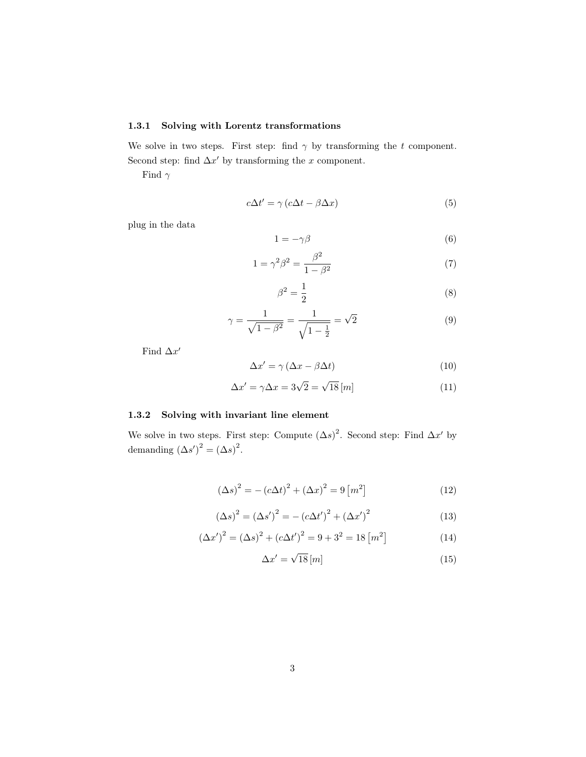#### <span id="page-2-0"></span>1.3.1 Solving with Lorentz transformations

We solve in two steps. First step: find  $\gamma$  by transforming the t component. Second step: find  $\Delta x'$  by transforming the x component.

Find  $\gamma$ 

$$
c\Delta t' = \gamma (c\Delta t - \beta \Delta x) \tag{5}
$$

plug in the data

$$
1 = -\gamma \beta \tag{6}
$$

$$
1 = \gamma^2 \beta^2 = \frac{\beta^2}{1 - \beta^2}
$$
 (7)

$$
\beta^2 = \frac{1}{2} \tag{8}
$$

$$
\gamma = \frac{1}{\sqrt{1 - \beta^2}} = \frac{1}{\sqrt{1 - \frac{1}{2}}} = \sqrt{2}
$$
\n(9)

Find  $\Delta x'$ 

$$
\Delta x' = \gamma \left(\Delta x - \beta \Delta t\right) \tag{10}
$$

$$
\Delta x' = \gamma \Delta x = 3\sqrt{2} = \sqrt{18} [m] \tag{11}
$$

#### <span id="page-2-1"></span>1.3.2 Solving with invariant line element

We solve in two steps. First step: Compute  $(\Delta s)^2$ . Second step: Find  $\Delta x'$  by demanding  $(\Delta s')^2 = (\Delta s)^2$ .

$$
(\Delta s)^{2} = - (c\Delta t)^{2} + (\Delta x)^{2} = 9 [m^{2}]
$$
 (12)

$$
(\Delta s)^{2} = (\Delta s')^{2} = -(c\Delta t')^{2} + (\Delta x')^{2}
$$
\n(13)

$$
(\Delta x')^{2} = (\Delta s)^{2} + (c\Delta t')^{2} = 9 + 3^{2} = 18 [m^{2}]
$$
\n(14)

$$
\Delta x' = \sqrt{18} \, [m] \tag{15}
$$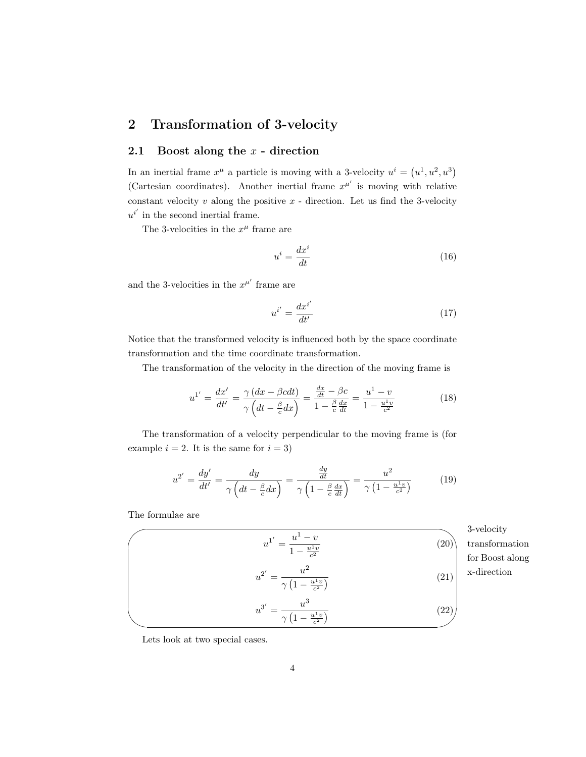### <span id="page-3-0"></span>2 Transformation of 3-velocity

#### <span id="page-3-1"></span>2.1 Boost along the  $x$  - direction

In an inertial frame  $x^{\mu}$  a particle is moving with a 3-velocity  $u^{i} = (u^{1}, u^{2}, u^{3})$ (Cartesian coordinates). Another inertial frame  $x^{\mu'}$  is moving with relative constant velocity  $v$  along the positive  $x$  - direction. Let us find the 3-velocity  $u^{i'}$  in the second inertial frame.

The 3-velocities in the  $x^{\mu}$  frame are

$$
u^i = \frac{dx^i}{dt} \tag{16}
$$

and the 3-velocities in the  $x^{\mu'}$  frame are

$$
u^{i'} = \frac{dx^{i'}}{dt'}
$$
\n<sup>(17)</sup>

Notice that the transformed velocity is influenced both by the space coordinate transformation and the time coordinate transformation.

The transformation of the velocity in the direction of the moving frame is

$$
u^{1'} = \frac{dx'}{dt'} = \frac{\gamma (dx - \beta c dt)}{\gamma (dt - \frac{\beta}{c} dx)} = \frac{\frac{dx}{dt} - \beta c}{1 - \frac{\beta}{c} \frac{dx}{dt}} = \frac{u^1 - v}{1 - \frac{u^1 v}{c^2}}
$$
(18)

The transformation of a velocity perpendicular to the moving frame is (for example  $i = 2$ . It is the same for  $i = 3$ )

<span id="page-3-3"></span><span id="page-3-2"></span>
$$
u^{2'} = \frac{dy'}{dt'} = \frac{dy}{\gamma \left(dt - \frac{\beta}{c}dx\right)} = \frac{\frac{dy}{dt}}{\gamma \left(1 - \frac{\beta}{c}\frac{dx}{dt}\right)} = \frac{u^2}{\gamma \left(1 - \frac{u^1 v}{c^2}\right)}\tag{19}
$$

The formulae are

$$
u^{1'} = \frac{u^{1} - v}{1 - \frac{u^{1}v}{c^{2}}}
$$
\n
$$
u^{2'} = \frac{u^{2}}{\gamma \left(1 - \frac{u^{1}v}{c^{2}}\right)}
$$
\n
$$
u^{3'} = \frac{u^{3}}{\gamma \left(1 - \frac{u^{1}v}{c^{2}}\right)}
$$
\n(21)\n
$$
u^{3'} = \frac{u^{3}}{\gamma \left(1 - \frac{u^{1}v}{c^{2}}\right)}
$$
\n(22)

✩ 3-velocity ansformation Boost along direction

<span id="page-3-4"></span>Lets look at two special cases.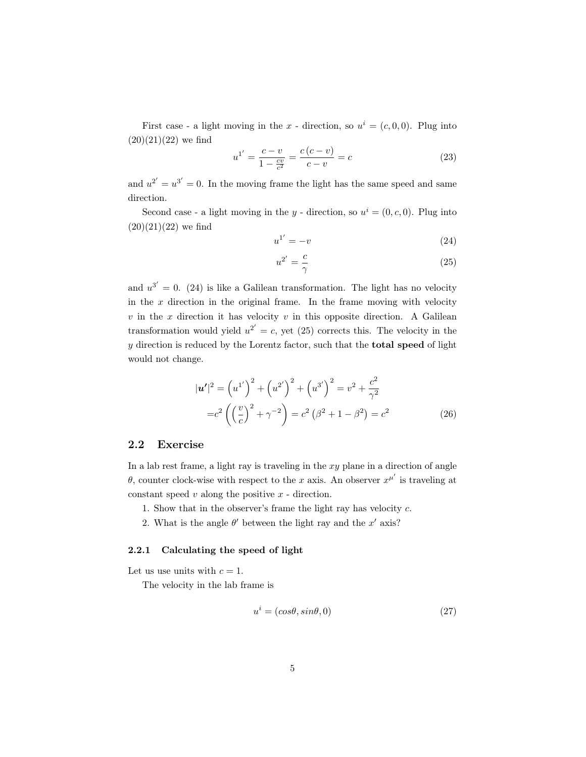First case - a light moving in the x - direction, so  $u^i = (c, 0, 0)$ . Plug into  $(20)(21)(22)$  $(20)(21)(22)$  $(20)(21)(22)$  we find

$$
u^{1'} = \frac{c - v}{1 - \frac{cv}{c^2}} = \frac{c(c - v)}{c - v} = c \tag{23}
$$

and  $u^{2'} = u^{3'} = 0$ . In the moving frame the light has the same speed and same direction.

Second case - a light moving in the y - direction, so  $u^i = (0, c, 0)$ . Plug into  $(20)(21)(22)$  $(20)(21)(22)$  $(20)(21)(22)$  we find

<span id="page-4-2"></span>
$$
u^{1'} = -v \tag{24}
$$

<span id="page-4-3"></span>
$$
u^{2'} = \frac{c}{\gamma} \tag{25}
$$

and  $u^{3'} = 0$ . [\(24\)](#page-4-2) is like a Galilean transformation. The light has no velocity in the  $x$  direction in the original frame. In the frame moving with velocity  $v$  in the  $x$  direction it has velocity  $v$  in this opposite direction. A Galilean transformation would yield  $u^{2'} = c$ , yet [\(25\)](#page-4-3) corrects this. The velocity in the  $y$  direction is reduced by the Lorentz factor, such that the **total speed** of light would not change.

$$
|\mathbf{u'}|^2 = (u^{1'})^2 + (u^{2'})^2 + (u^{3'})^2 = v^2 + \frac{c^2}{\gamma^2}
$$
  
=  $c^2 \left( \left(\frac{v}{c}\right)^2 + \gamma^{-2} \right) = c^2 \left( \beta^2 + 1 - \beta^2 \right) = c^2$  (26)

#### <span id="page-4-0"></span>2.2 Exercise

In a lab rest frame, a light ray is traveling in the  $xy$  plane in a direction of angle θ, counter clock-wise with respect to the x axis. An observer  $x^{\mu'}$  is traveling at constant speed  $v$  along the positive  $x$  - direction.

- 1. Show that in the observer's frame the light ray has velocity c.
- 2. What is the angle  $\theta'$  between the light ray and the x' axis?

#### <span id="page-4-1"></span>2.2.1 Calculating the speed of light

Let us use units with  $c = 1$ .

The velocity in the lab frame is

$$
u^i = (cos\theta, sin\theta, 0) \tag{27}
$$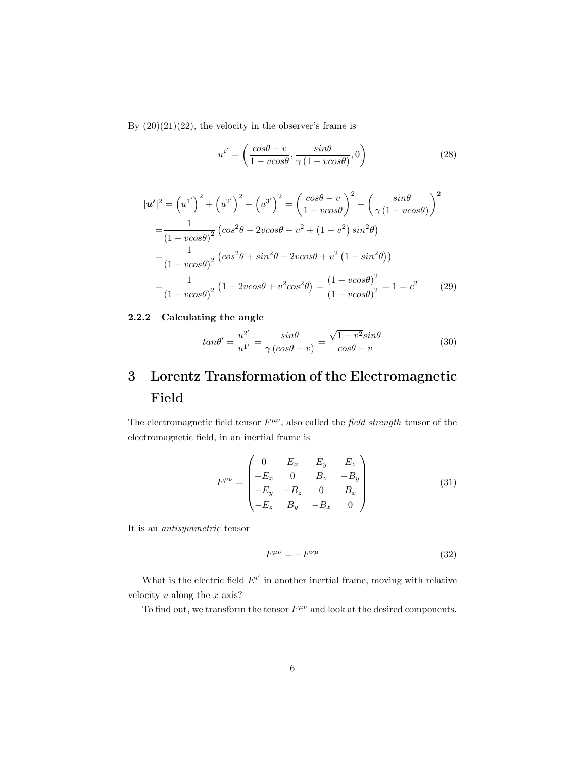By  $(20)(21)(22)$  $(20)(21)(22)$  $(20)(21)(22)$ , the velocity in the observer's frame is

$$
u^{i'} = \left(\frac{\cos\theta - v}{1 - v\cos\theta}, \frac{\sin\theta}{\gamma(1 - v\cos\theta)}, 0\right)
$$
 (28)

$$
|\mathbf{u'}|^2 = (u^{1'})^2 + (u^{2'})^2 + (u^{3'})^2 = \left(\frac{\cos\theta - v}{1 - v\cos\theta}\right)^2 + \left(\frac{\sin\theta}{\gamma(1 - v\cos\theta)}\right)^2
$$
  
=  $\frac{1}{(1 - v\cos\theta)^2} (\cos^2\theta - 2v\cos\theta + v^2 + (1 - v^2)\sin^2\theta)$   
=  $\frac{1}{(1 - v\cos\theta)^2} (\cos^2\theta + \sin^2\theta - 2v\cos\theta + v^2(1 - \sin^2\theta))$   
=  $\frac{1}{(1 - v\cos\theta)^2} (1 - 2v\cos\theta + v^2\cos^2\theta) = \frac{(1 - v\cos\theta)^2}{(1 - v\cos\theta)^2} = 1 = c^2$  (29)

#### <span id="page-5-0"></span>2.2.2 Calculating the angle

$$
tan\theta' = \frac{u^{2'}}{u^{1'}} = \frac{sin\theta}{\gamma (cos\theta - v)} = \frac{\sqrt{1 - v^2}sin\theta}{cos\theta - v}
$$
(30)

## <span id="page-5-1"></span>3 Lorentz Transformation of the Electromagnetic Field

The electromagnetic field tensor  $F^{\mu\nu}$ , also called the field strength tensor of the electromagnetic field, in an inertial frame is

$$
F^{\mu\nu} = \begin{pmatrix} 0 & E_x & E_y & E_z \\ -E_x & 0 & B_z & -B_y \\ -E_y & -B_z & 0 & B_x \\ -E_z & B_y & -B_x & 0 \end{pmatrix}
$$
(31)

It is an antisymmetric tensor

$$
F^{\mu\nu} = -F^{\nu\mu} \tag{32}
$$

What is the electric field  $E^{i'}$  in another inertial frame, moving with relative velocity  $v$  along the  $x$  axis?

To find out, we transform the tensor  $F^{\mu\nu}$  and look at the desired components.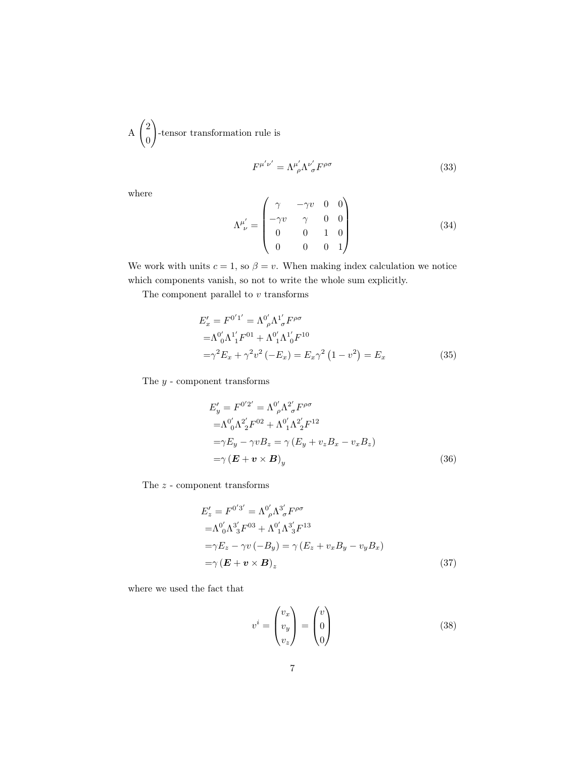A  $\sqrt{2}$ 0  $\setminus$ -tensor transformation rule is

$$
F^{\mu'\nu'} = \Lambda^{\mu'}_{\ \rho} \Lambda^{\nu'}_{\ \sigma} F^{\rho\sigma} \tag{33}
$$

where

$$
\Lambda^{\mu'}_{\ \nu} = \begin{pmatrix} \gamma & -\gamma v & 0 & 0 \\ -\gamma v & \gamma & 0 & 0 \\ 0 & 0 & 1 & 0 \\ 0 & 0 & 0 & 1 \end{pmatrix}
$$
 (34)

We work with units  $c = 1$ , so  $\beta = v$ . When making index calculation we notice which components vanish, so not to write the whole sum explicitly.

The component parallel to  $v$  transforms

$$
E'_{x} = F^{0'1'} = \Lambda^{0'}_{\rho} \Lambda^{1'}_{\sigma} F^{\rho \sigma}
$$
  
=\Lambda^{0'}\_{0} \Lambda^{1'}\_{1} F^{01} + \Lambda^{0'}\_{1} \Lambda^{1'}\_{0} F^{10}  
=\gamma^{2} E\_{x} + \gamma^{2} v^{2} (-E\_{x}) = E\_{x} \gamma^{2} (1 - v^{2}) = E\_{x}(35)

The  $y$  - component transforms

$$
E'_y = F^{0'2'} = \Lambda^0_{\rho} \Lambda^2_{\sigma} F^{\rho \sigma}
$$
  
\n
$$
= \Lambda^0_{0} \Lambda^2_{2} F^{02} + \Lambda^0_{1} \Lambda^2_{2} F^{12}
$$
  
\n
$$
= \gamma E_y - \gamma v B_z = \gamma (E_y + v_z B_x - v_x B_z)
$$
  
\n
$$
= \gamma (E + v \times B)_y
$$
\n(36)

The  $z$  - component transforms

$$
E'_{z} = F^{0'3'} = \Lambda^{0'}_{\rho} \Lambda^{3'}_{\sigma} F^{\rho \sigma}
$$
  
\n
$$
= \Lambda^{0'}_{0} \Lambda^{3'}_{3} F^{03} + \Lambda^{0'}_{1} \Lambda^{3'}_{3} F^{13}
$$
  
\n
$$
= \gamma E_{z} - \gamma v (-B_{y}) = \gamma (E_{z} + v_{x} B_{y} - v_{y} B_{x})
$$
  
\n
$$
= \gamma (E + v \times B)_{z}
$$
\n(37)

where we used the fact that

$$
v^i = \begin{pmatrix} v_x \\ v_y \\ v_z \end{pmatrix} = \begin{pmatrix} v \\ 0 \\ 0 \end{pmatrix}
$$
 (38)